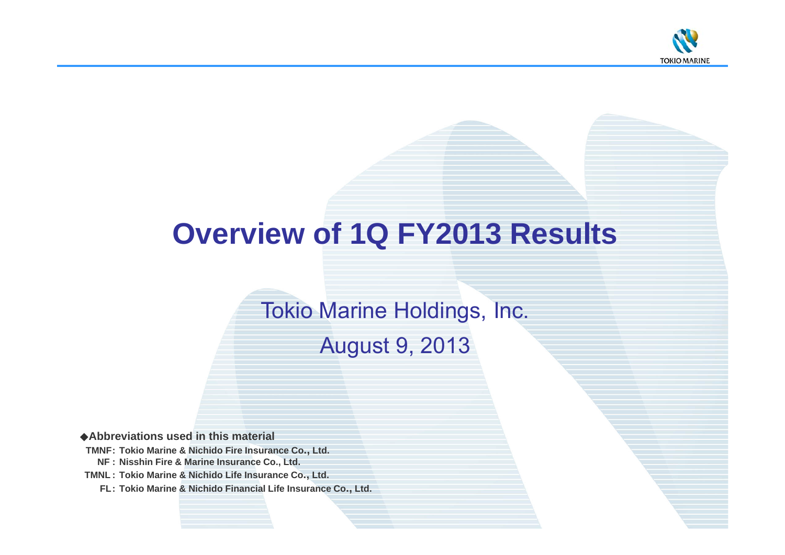

# **Overview of 1Q FY2013 Results**

# Tokio Marine Holdings, Inc.

August 9, 2013

◆**Abbreviations used in this material**

**TMNF: Tokio Marine & Nichido Fire Insurance Co., Ltd. NF : Nisshin Fire & Marine Insurance Co., Ltd.**

**TMNL : Tokio Marine & Nichido Life Insurance Co., Ltd.**

**FL: Tokio Marine & Nichido Financial Life Insurance Co., Ltd.**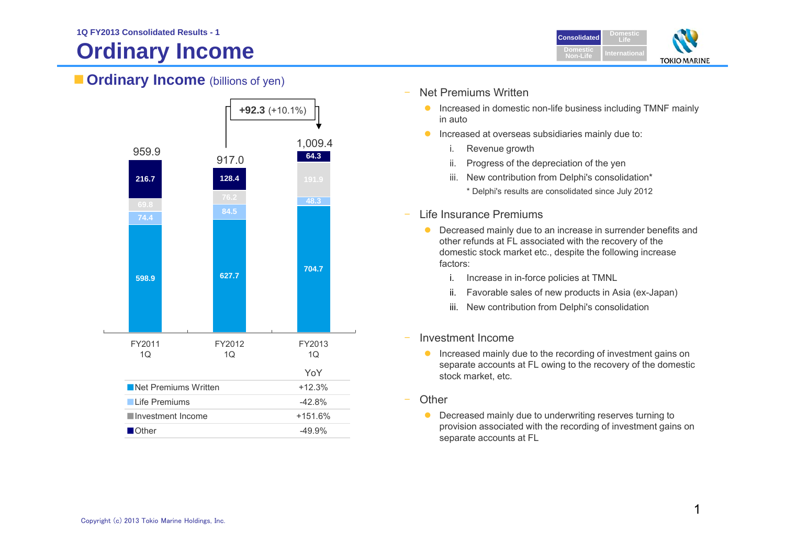## **Ordinary Income**



### **Cordinary Income** (billions of yen)



- Net Premiums Written
	- **Increased in domestic non-life business including TMNF mainly** in auto
	- $\bullet$  Increased at overseas subsidiaries mainly due to:
		- i. Revenue growth
		- ii. Progress of the depreciation of the yen
		- iii. New contribution from Delphi's consolidation\* \* Delphi's results are consolidated since July 2012
- Life Insurance Premiums
	- $\bullet$  Decreased mainly due to an increase in surrender benefits and other refunds at FL associated with the recovery of the domestic stock market etc., despite the following increase factors:
		- i. Increase in in-force policies at TMNL
		- ii.Favorable sales of new products in Asia (ex-Japan)
		- iii. New contribution from Delphi's consolidation
- Investment Income
	- **Increased mainly due to the recording of investment gains on** separate accounts at FL owing to the recovery of the domestic stock market, etc.
- **Other** 
	- **•** Decreased mainly due to underwriting reserves turning to provision associated with the recording of investment gains on separate accounts at FL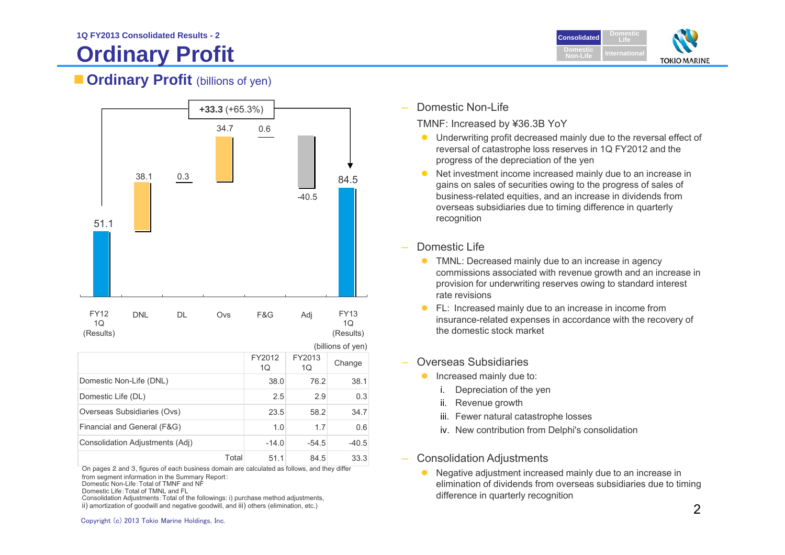# **Ordinary Profit**



### **Cordinary Profit** (billions of yen)



(billions of yen) FY20121QFY20131Q Change 38.0 76.2 38.1 $2.5$  2.9  $0.3$ 23.5 58.2 34.7 $1.0$  1.7  $0.6$  $-14.0$   $-54.5$  $-40.5$  $51.1$  84.5 33.3 Consolidation Adjustments (Adj) Total Domestic Non-Life (DNL) Domestic Life (DL) Overseas Subsidiaries (Ovs) Financial and General (F&G)

On pages 2 and 3, figures of each business domain are calculated as follows, and they differ from segment information in the Summary Report:

Domestic Non-Life:Total of TMNF and NF

 Consolidation Adjustments:Total of the followings: i) purchase method adjustments, ii) amortization of goodwill and negative goodwill, and iii) others (elimination, etc.)

Domestic Non-Life

TMNF: Increased by ¥36.3B YoY

- Underwriting profit decreased mainly due to the reversal effect of reversal of catastrophe loss reserves in 1Q FY2012 and the progress of the depreciation of the yen
- Net investment income increased mainly due to an increase in gains on sales of securities owing to the progress of sales of business-related equities, and an increase in dividends from overseas subsidiaries due to timing difference in quarterly recognition
- Domestic Life
	- $\bullet$  TMNL: Decreased mainly due to an increase in agency commissions associated with revenue growth and an increase in provision for underwriting reserves owing to standard interest rate revisions
	- **•** FL: Increased mainly due to an increase in income from insurance-related expenses in accordance with the recovery of the domestic stock market
- Overseas Subsidiaries
	- $\bullet$  Increased mainly due to:
		- i. Depreciation of the yen
		- ii. Revenue growth
		- iii. Fewer natural catastrophe losses
		- iv. New contribution from Delphi's consolidation
- – Consolidation Adjustments
	- $\bullet$  Negative adjustment increased mainly due to an increase in elimination of dividends from overseas subsidiaries due to timing difference in quarterly recognition

Domestic Life:Total of TMNL and FL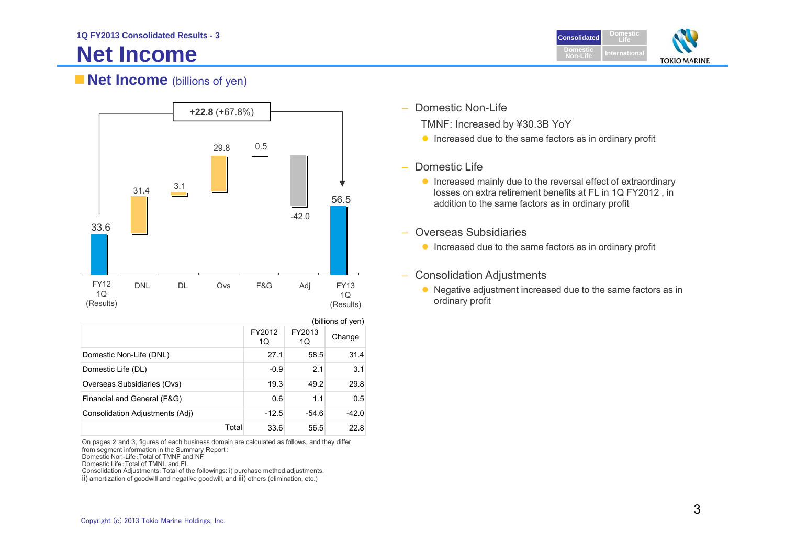## **Net Income**



### **Net Income** (billions of yen)



|                                 |       | (billions of yen) |              |         |
|---------------------------------|-------|-------------------|--------------|---------|
|                                 |       | FY2012<br>1Q      | FY2013<br>1Q | Change  |
| Domestic Non-Life (DNL)         |       | 27.1              | 58.5         | 31.4    |
| Domestic Life (DL)              |       | $-0.9$            | 2.1          | 3.1     |
| Overseas Subsidiaries (Ovs)     |       | 19.3              | 49.2         | 29.8    |
| Financial and General (F&G)     |       | 0.6               | 1.1          | 0.5     |
| Consolidation Adjustments (Adj) |       | $-12.5$           | $-54.6$      | $-42.0$ |
|                                 | Total | 33.6              | 56.5         | 22.8    |

On pages 2 and 3, figures of each business domain are calculated as follows, and they differ from segment information in the Summary Report:

Domestic Non-Life:Total of TMNF and NF

Domestic Life:Total of TMNL and FL

Consolidation Adjustments:Total of the followings: i) purchase method adjustments,

ii) amortization of goodwill and negative goodwill, and iii) others (elimination, etc.)

- –Domestic Non-Life
	- TMNF: Increased by ¥30.3B YoY
	- **Increased due to the same factors as in ordinary profit**
- $\equiv$  Domestic Life
	- **Increased mainly due to the reversal effect of extraordinary** losses on extra retirement benefits at FL in 1Q FY2012 , in addition to the same factors as in ordinary profit
- – Overseas Subsidiaries
	- **Increased due to the same factors as in ordinary profit**
- – Consolidation Adjustments
	- Negative adjustment increased due to the same factors as in ordinary profit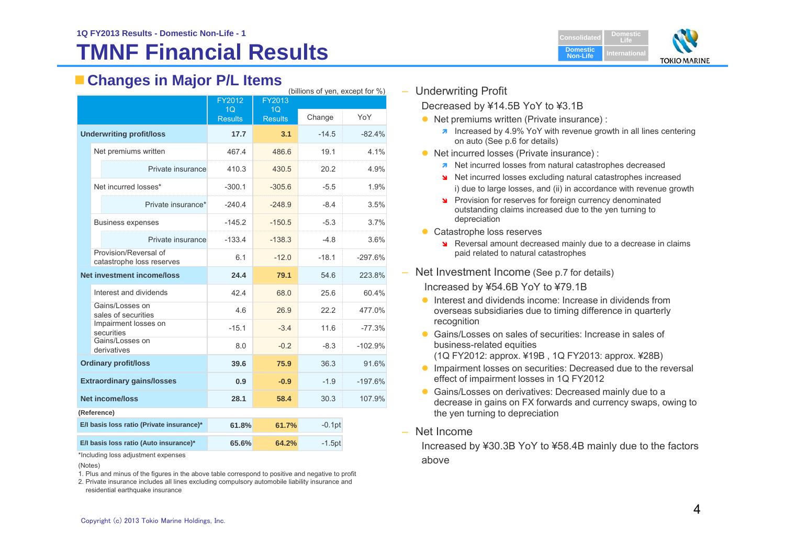## **TMNF Financial Results**

### **Changes in Major P/L Items**

|                                                                  | (billions of yen, except for %)                    |                                  |                      |          |           |  |
|------------------------------------------------------------------|----------------------------------------------------|----------------------------------|----------------------|----------|-----------|--|
|                                                                  |                                                    | FY2012                           | FY2013               |          |           |  |
|                                                                  |                                                    | 1 <sub>O</sub><br><b>Results</b> | 1Q<br><b>Results</b> | Change   | YoY       |  |
| <b>Underwriting profit/loss</b>                                  |                                                    | 17.7                             | 3.1                  | $-14.5$  | $-82.4%$  |  |
|                                                                  | Net premiums written                               | 467.4                            | 486.6                | 19.1     | 4.1%      |  |
|                                                                  | Private insurance                                  | 410.3                            | 430.5                | 20.2     | 4.9%      |  |
|                                                                  | Net incurred losses*                               | $-300.1$                         | $-305.6$             | $-5.5$   | 1.9%      |  |
|                                                                  | Private insurance*                                 | $-240.4$                         | $-248.9$             | $-8.4$   | 3.5%      |  |
|                                                                  | <b>Business expenses</b>                           | $-145.2$                         | $-150.5$             | $-5.3$   | 3.7%      |  |
|                                                                  | Private insurance                                  | $-133.4$                         | $-138.3$             | $-4.8$   | 3.6%      |  |
|                                                                  | Provision/Reversal of<br>catastrophe loss reserves | 6.1                              | $-12.0$              | $-18.1$  | $-297.6%$ |  |
|                                                                  | <b>Net investment income/loss</b>                  | 24.4                             | 79.1                 | 54.6     | 223.8%    |  |
|                                                                  | Interest and dividends                             | 42.4                             | 68.0                 | 25.6     | 60.4%     |  |
|                                                                  | Gains/Losses on<br>sales of securities             | 4.6                              | 26.9                 | 22.2     | 477.0%    |  |
|                                                                  | Impairment losses on<br>securities                 | $-15.1$                          | $-3.4$               | 11.6     | $-77.3%$  |  |
|                                                                  | Gains/Losses on<br>derivatives                     | 8.0                              | $-0.2$               | $-8.3$   | $-102.9%$ |  |
| <b>Ordinary profit/loss</b><br><b>Extraordinary gains/losses</b> |                                                    | 39.6                             | 75.9                 | 36.3     | 91.6%     |  |
|                                                                  |                                                    | 0.9                              | $-0.9$               | $-1.9$   | $-197.6%$ |  |
| <b>Net income/loss</b>                                           |                                                    | 28.1                             | 58.4                 | 30.3     | 107.9%    |  |
|                                                                  | (Reference)                                        |                                  |                      |          |           |  |
|                                                                  | E/I basis loss ratio (Private insurance)*          | 61.8%                            | 61.7%                | $-0.1pt$ |           |  |
| E/I basis loss ratio (Auto insurance)*                           |                                                    | 65.6%                            | 64.2%                | $-1.5pt$ |           |  |

\*Including loss adjustment expenses

(Notes)

- 1. Plus and minus of the figures in the above table correspond to positive and negative to profit
- 2. Private insurance includes all lines excluding compulsory automobile liability insurance and residential earthquake insurance



Underwriting Profit

Decreased by ¥14.5B YoY to ¥3.1B

- Net premiums written (Private insurance) :
	- **1** Increased by 4.9% YoY with revenue growth in all lines centering on auto (See p.6 for details)
- Net incurred losses (Private insurance) :
	- **A** Net incurred losses from natural catastrophes decreased
	- Net incurred losses excluding natural catastrophes increased i) due to large losses, and (ii) in accordance with revenue growth
	- **Provision for reserves for foreign currency denominated** outstanding claims increased due to the yen turning to depreciation
- Catastrophe loss reserves
	- Reversal amount decreased mainly due to a decrease in claims paid related to natural catastrophes
- – Net Investment Income (See p.7 for details)
	- Increased by ¥54.6B YoY to ¥79.1B
	- **Interest and dividends income: Increase in dividends from** overseas subsidiaries due to timing difference in quarterly recognition
	- Gains/Losses on sales of securities: Increase in sales of business-related equities (1Q FY2012: approx. ¥19B , 1Q FY2013: approx. ¥28B)
	- **Impairment losses on securities: Decreased due to the reversal** effect of impairment losses in 1Q FY2012
	- **Gains/Losses on derivatives: Decreased mainly due to a** decrease in gains on FX forwards and currency swaps, owing to the yen turning to depreciation
- Net Income

Increased by ¥30.3B YoY to ¥58.4B mainly due to the factors above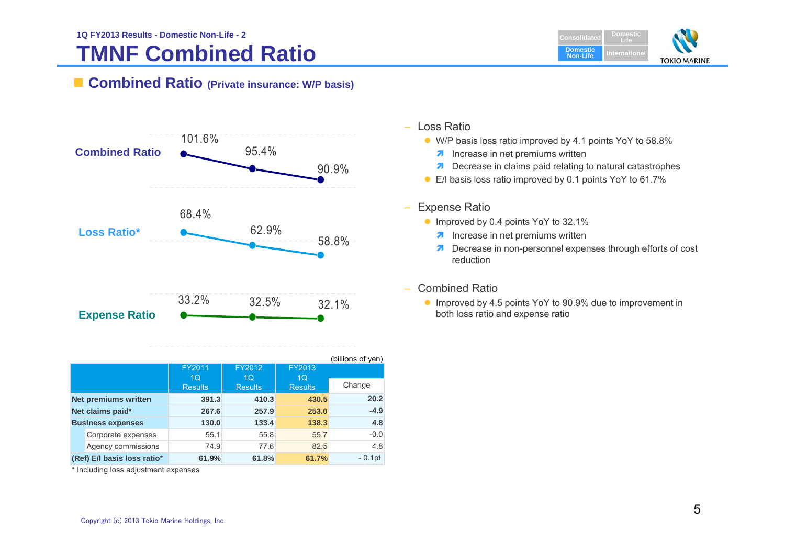## **TMNF Combined Ratio**



### **Combined Ratio (Private insurance: W/P basis)**



|                             |                                  |                                  |                                  | (billions of yen) |
|-----------------------------|----------------------------------|----------------------------------|----------------------------------|-------------------|
|                             | FY2011                           | FY2012                           | FY2013                           |                   |
|                             | 1 <sub>O</sub><br><b>Results</b> | 1 <sub>O</sub><br><b>Results</b> | 1 <sub>O</sub><br><b>Results</b> | Change            |
| <b>Net premiums written</b> | 391.3                            | 410.3                            | 430.5                            | 20.2              |
| Net claims paid*            | 267.6                            | 257.9                            | 253.0                            | $-4.9$            |
| <b>Business expenses</b>    | 130.0                            | 133.4                            | 138.3                            | 4.8               |
| Corporate expenses          | 55.1                             | 55.8                             | 55.7                             | $-0.0$            |
| Agency commissions          | 74.9                             | 77.6                             | 82.5                             | 4.8               |
| (Ref) E/I basis loss ratio* | 61.9%                            | 61.8%                            | 61.7%                            | $-0.1$ pt         |

\* Including loss adjustment expenses

### – Loss Ratio

- W/P basis loss ratio improved by 4.1 points YoY to 58.8%
	- **A** Increase in net premiums written
	- **7** Decrease in claims paid relating to natural catastrophes
- E/I basis loss ratio improved by 0.1 points YoY to 61.7%

#### –Expense Ratio

- Improved by 0.4 points YoY to 32.1%
	- **A** Increase in net premiums written
	- **7** Decrease in non-personnel expenses through efforts of cost reduction
- – Combined Ratio
	- Improved by 4.5 points YoY to 90.9% due to improvement in both loss ratio and expense ratio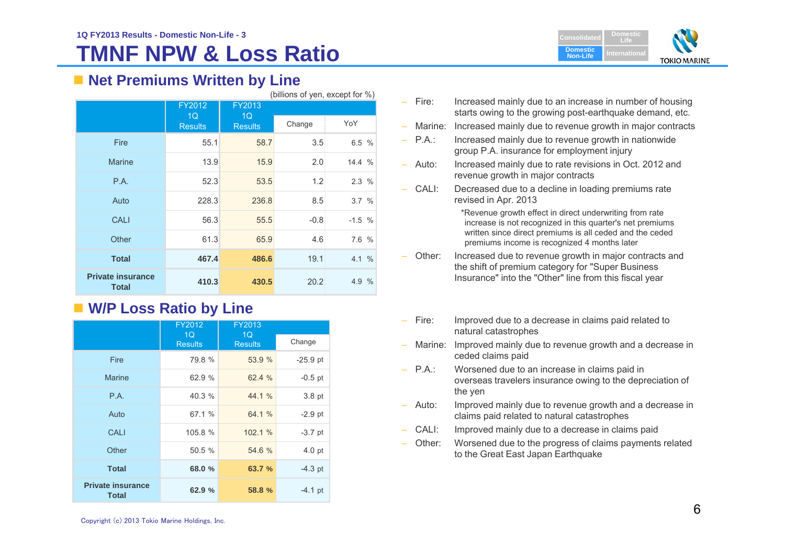## **TMNF NPW & Loss Ratio**



### ■ Net Premiums Written by Line

| (billions of yen, except for %)          |                |                |        |         |  |
|------------------------------------------|----------------|----------------|--------|---------|--|
|                                          | FY2012<br>1Q   | FY2013<br>1Q   |        |         |  |
|                                          | <b>Results</b> | <b>Results</b> | Change | YoY     |  |
| <b>Fire</b>                              | 55.1           | 58.7           | 3.5    | 6.5%    |  |
| Marine                                   | 13.9           | 15.9           | 2.0    | 14.4 %  |  |
| P.A.                                     | 52.3           | 53.5           | 1.2    | 2.3%    |  |
| Auto                                     | 228.3          | 236.8          | 8.5    | 3.7%    |  |
| <b>CALI</b>                              | 56.3           | 55.5           | $-0.8$ | $-1.5%$ |  |
| Other                                    | 61.3           | 65.9           | 4.6    | 7.6 %   |  |
| <b>Total</b>                             | 467.4          | 486.6          | 19.1   | 4.1 %   |  |
| <b>Private insurance</b><br><b>Total</b> | 410.3          | 430.5          | 20.2   | 4.9 %   |  |

## **W/P Loss Ratio by Line**

|                                          | FY2012               | FY2013               |                   |
|------------------------------------------|----------------------|----------------------|-------------------|
|                                          | 1Q<br><b>Results</b> | 1Q<br><b>Results</b> | Change            |
| <b>Fire</b>                              | 79.8 %               | 53.9 %               | $-25.9$ pt        |
| <b>Marine</b>                            | 62.9%                | 62.4 %               | $-0.5$ pt         |
| P.A.                                     | 40.3 %               | 44.1 %               | 3.8 pt            |
| Auto                                     | 67.1%                | 64.1 %               | $-2.9$ pt         |
| CALI                                     | 105.8 %              | 102.1%               | $-3.7$ pt         |
| Other                                    | 50.5 %               | 54.6 %               | 4.0 <sub>pt</sub> |
| <b>Total</b>                             | 68.0 %               | 63.7 %               | $-4.3$ pt         |
| <b>Private insurance</b><br><b>Total</b> | 62.9 %               | 58.8 %               | $-4.1$ pt         |

| Fire: | Increased mainly due to an increase in number of housing |
|-------|----------------------------------------------------------|
|       | starts owing to the growing post-earthquake demand, etc. |

- –Marine: Increased mainly due to revenue growth in major contracts
- P.A.: Increased mainly due to revenue growth in nationwide group P.A. insurance for employment injury
- –Increased mainly due to rate revisions in Oct. 2012 and revenue growth in major contracts
- CALI: Decreased due to a decline in loading premiums rate revised in Apr. 2013

\*Revenue growth effect in direct underwriting from rate increase is not recognized in this quarter's net premiums written since direct premiums is all ceded and the ceded premiums income is recognized 4 months later

- Other: Increased due to revenue growth in major contracts and the shift of premium category for "Super Business Insurance" into the "Other" line from this fiscal year
- Fire: Improved due to a decrease in claims paid related to natural catastrophes
- Marine: Improved mainly due to revenue growth and a decrease in ceded claims paid
- $-$  P.A.: Worsened due to an increase in claims paid in overseas travelers insurance owing to the depreciation of the yen
- Auto: Improved mainly due to revenue growth and a decrease in claims paid related to natural catastrophes
- CALI: Improved mainly due to a decrease in claims paid
- $\equiv$  Other: Worsened due to the progress of claims payments related to the Great East Japan Earthquake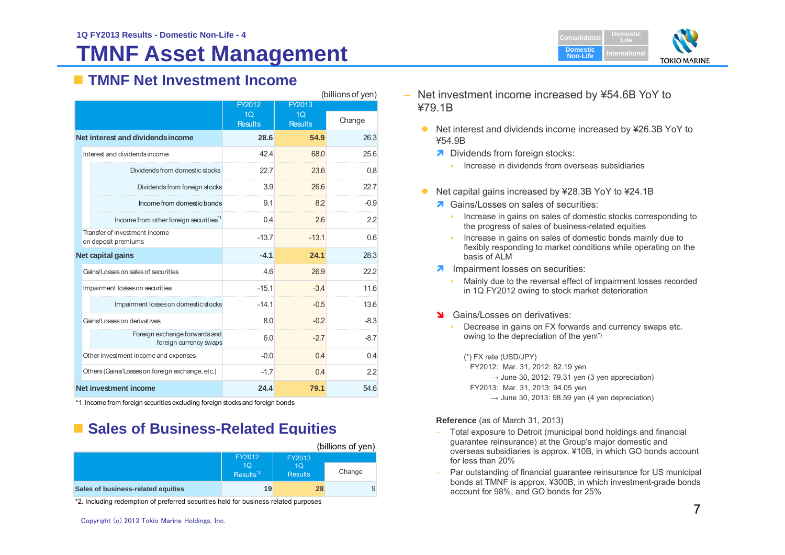## **TMNF Asset Management**



### **TMNF Net Investment Income**

| (billions of yen)                                       |                                  |                                  |        |  |
|---------------------------------------------------------|----------------------------------|----------------------------------|--------|--|
|                                                         | FY2012                           | FY2013                           |        |  |
|                                                         | 1 <sub>O</sub><br><b>Results</b> | 1 <sub>O</sub><br><b>Results</b> | Change |  |
| Net interest and dividends income                       | 28.6                             | 54.9                             | 26.3   |  |
| Interest and dividends income                           | 42.4                             | 68.0                             | 25.6   |  |
| Dividends from domestic stocks                          | 22.7                             | 23.6                             | 0.8    |  |
| Dividends from foreign stocks                           | 3.9                              | 26.6                             | 22.7   |  |
| Income from domestic bonds                              | 9.1                              | 8.2                              | $-0.9$ |  |
| Income from other foreign securities <sup>1</sup>       | 0.4                              | 2.6                              | 2.2    |  |
| Transfer of investment income<br>on deposit premiums    | $-13.7$                          | $-13.1$                          | 06     |  |
| Net capital gains                                       | $-4.1$                           | 24.1                             | 28.3   |  |
| Gains/Losses on sales of securities                     | 46                               | 26.9                             | 22.2   |  |
| Impairment losses on securities                         | $-15.1$                          | $-3.4$                           | 11.6   |  |
| Impairment losses on domestic stocks                    | $-14.1$                          | $-0.5$                           | 13.6   |  |
| Gains/Losses on derivatives                             | 8.0                              | $-0.2$                           | $-8.3$ |  |
| Foreign exchange forwards and<br>foreign currency swaps | 6.0                              | $-2.7$                           | $-8.7$ |  |
| Other investment income and expenses                    | $-0.0$                           | 04                               | 04     |  |
| Others (Gains/Losses on foreign exchange, etc.)         | $-1.7$                           | 0.4                              | 22     |  |
| Net investment income                                   | 24.4                             | 79.1                             | 54.6   |  |

\*1. Income from foreign securities excluding foreign stocks and foreign bonds

### **Example Sales of Business-Related Equities**

|                                    |                                         |                      | (billions of yen) |
|------------------------------------|-----------------------------------------|----------------------|-------------------|
|                                    | FY2012                                  | FY2013               |                   |
|                                    | 1 <sub>O</sub><br>Results <sup>*2</sup> | 10<br><b>Results</b> | Change            |
| Sales of business-related equities | 19                                      | 28                   |                   |

\*2. Including redemption of preferred securities held for business related purposes

- – Net investment income increased by ¥54.6B YoY to ¥79.1B
	- Net interest and dividends income increased by ¥26.3B YoY to ¥54.9B
		- Dividends from foreign stocks:
			- Increase in dividends from overseas subsidiaries
	- Net capital gains increased by ¥28.3B YoY to ¥24.1B
		- **A** Gains/Losses on sales of securities:
			- Increase in gains on sales of domestic stocks corresponding to the progress of sales of business-related equities
			- Increase in gains on sales of domestic bonds mainly due to flexibly responding to market conditions while operating on the basis of ALM
		- **A** Impairment losses on securities:
			- Mainly due to the reversal effect of impairment losses recorded in 1Q FY2012 owing to stock market deterioration
		- State Gains/Losses on derivatives:
			- Decrease in gains on FX forwards and currency swaps etc. owing to the depreciation of the yen(\*)

(\*) FX rate (USD/JPY)

- FY2012: Mar. 31, 2012: 82.19 yen
	- $\rightarrow$  June 30, 2012: 79.31 yen (3 yen appreciation)
- FY2013: Mar. 31, 2013: 94.05 yen
	- $\rightarrow$  June 30, 2013: 98.59 yen (4 yen depreciation)

**Reference** (as of March 31, 2013)

- Total exposure to Detroit (municipal bond holdings and financial guarantee reinsurance) at the Group's major domestic and overseas subsidiaries is approx. ¥10B, in which GO bonds account for less than 20%
- Par outstanding of financial guarantee reinsurance for US municipal bonds at TMNF is approx. ¥300B, in which investment-grade bonds account for 98%, and GO bonds for 25%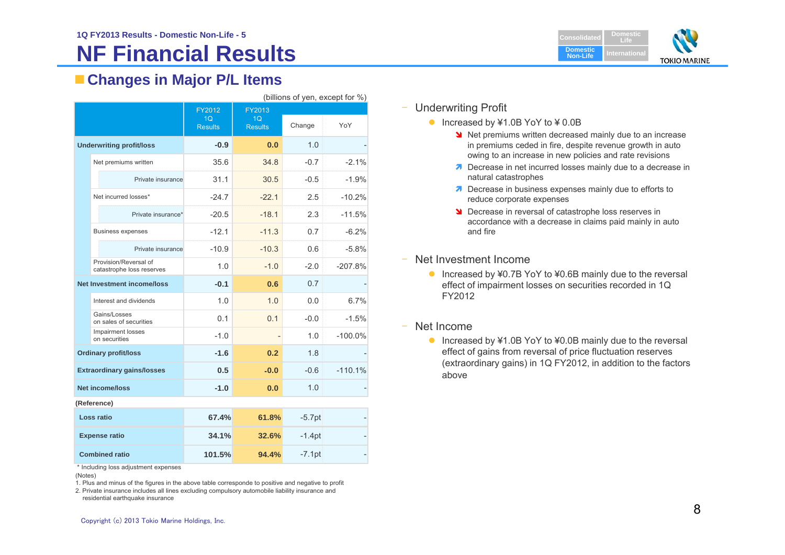## **NF Financial Results**

**Changes in Major P/L Items**

|                        | (billions of yen, except for %)                    |                                  |                                  |           |            |  |
|------------------------|----------------------------------------------------|----------------------------------|----------------------------------|-----------|------------|--|
|                        |                                                    | FY2012                           | FY2013                           |           |            |  |
|                        |                                                    | 1 <sub>O</sub><br><b>Results</b> | 1 <sub>O</sub><br><b>Results</b> | Change    | YoY        |  |
|                        | <b>Underwriting profit/loss</b>                    | $-0.9$                           | 0.0                              | 1.0       |            |  |
|                        | Net premiums written                               | 35.6                             | 34.8                             | $-0.7$    | $-2.1%$    |  |
|                        | Private insurance                                  | 31.1                             | 30.5                             | $-0.5$    | $-1.9%$    |  |
|                        | Net incurred losses*                               | $-24.7$                          | $-22.1$                          | 2.5       | $-10.2%$   |  |
|                        | Private insurance*                                 | $-20.5$                          | $-18.1$                          | 2.3       | $-11.5%$   |  |
|                        | <b>Business expenses</b>                           | $-12.1$                          | $-11.3$                          | 0.7       | $-6.2%$    |  |
|                        | Private insurance                                  | $-10.9$                          | $-10.3$                          | 0.6       | $-5.8%$    |  |
|                        | Provision/Reversal of<br>catastrophe loss reserves | 1.0                              | $-1.0$                           | $-2.0$    | $-207.8%$  |  |
|                        | <b>Net Investment income/loss</b>                  | $-0.1$                           | 0.6                              | 0.7       |            |  |
|                        | Interest and dividends                             | 1.0                              | 1.0                              | 0.0       | 6.7%       |  |
|                        | Gains/Losses<br>on sales of securities             | 0.1                              | 0.1                              | $-0.0$    | $-1.5%$    |  |
|                        | Impairment losses<br>on securities                 | $-1.0$                           |                                  | 1.0       | $-100.0\%$ |  |
|                        | <b>Ordinary profit/loss</b>                        | $-1.6$                           | 0.2                              | 1.8       |            |  |
|                        | <b>Extraordinary gains/losses</b>                  | 0.5                              | $-0.0$                           | $-0.6$    | $-110.1%$  |  |
| <b>Net income/loss</b> |                                                    | $-1.0$                           | 0.0                              | 1.0       |            |  |
| (Reference)            |                                                    |                                  |                                  |           |            |  |
|                        | Loss ratio                                         | 67.4%                            | 61.8%                            | $-5.7$ pt |            |  |
| <b>Expense ratio</b>   |                                                    | 34.1%                            | 32.6%                            | $-1.4pt$  |            |  |
| <b>Combined ratio</b>  |                                                    | 101.5%                           | 94.4%                            | $-7.1$ pt |            |  |

\* Including loss adjustment expenses

1. Plus and minus of the figures in the above table corresponde to positive and negative to profit

2. Private insurance includes all lines excluding compulsory automobile liability insurance and residential earthquake insurance



### ‒ Underwriting Profit

- Increased by ¥1.0B YoY to ¥0.0B
	- Net premiums written decreased mainly due to an increase in premiums ceded in fire, despite revenue growth in auto owing to an increase in new policies and rate revisions
	- **7** Decrease in net incurred losses mainly due to a decrease in natural catastrophes
	- **Decrease in business expenses mainly due to efforts to** reduce corporate expenses
	- **Decrease in reversal of catastrophe loss reserves in** accordance with a decrease in claims paid mainly in auto and fire
- ‒ Net Investment Income
	- Increased by ¥0.7B YoY to ¥0.6B mainly due to the reversal effect of impairment losses on securities recorded in 1Q FY2012
- ‒ Net Income
	- Increased by ¥1.0B YoY to ¥0.0B mainly due to the reversal effect of gains from reversal of price fluctuation reserves (extraordinary gains) in 1Q FY2012, in addition to the factors above

<sup>(</sup>Notes)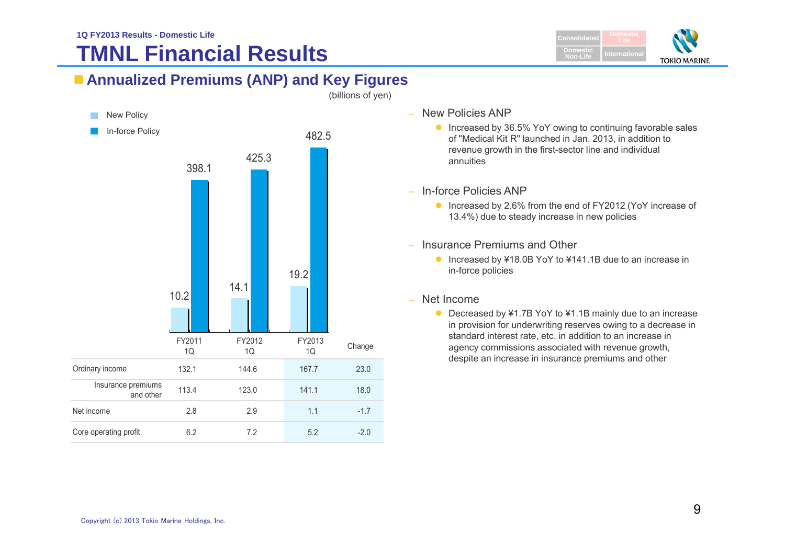## **TMNL Financial Results**



## **Annualized Premiums (ANP) and Key Figures**



(billions of yen)

- New Policies ANP
	- Increased by 36.5% YoY owing to continuing favorable sales of "Medical Kit R" launched in Jan. 2013, in addition to revenue growth in the first-sector line and individual annuities
- In-force Policies ANP
	- Increased by 2.6% from the end of FY2012 (YoY increase of 13.4%) due to steady increase in new policies
- Insurance Premiums and Other
	- Increased by ¥18.0B YoY to ¥141.1B due to an increase in in-force policies
- Net Income
	- Decreased by ¥1.7B YoY to ¥1.1B mainly due to an increase in provision for underwriting reserves owing to a decrease in standard interest rate, etc. in addition to an increase in agency commissions associated with revenue growth, despite an increase in insurance premiums and other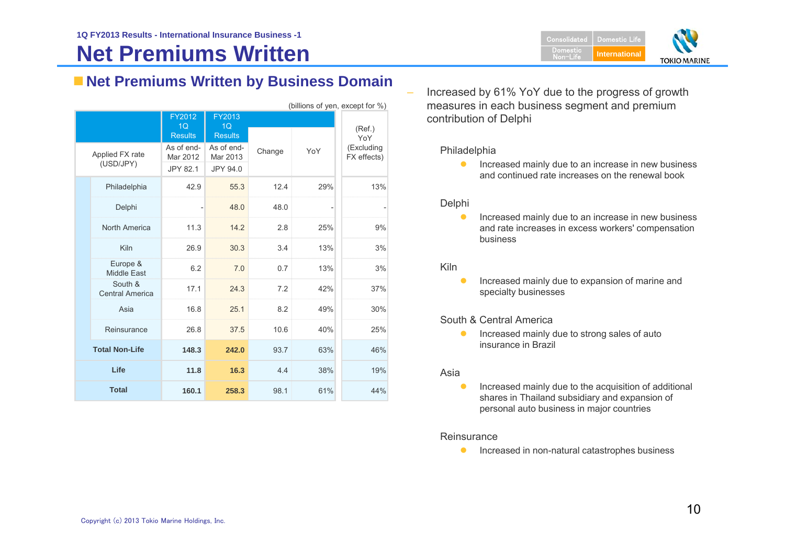## **Net Premiums Written**



### **Net Premiums Written by Business Domain**

| (billions of yen, except for %)   |                        |                        |        |     |                           |
|-----------------------------------|------------------------|------------------------|--------|-----|---------------------------|
|                                   | FY2012<br>1Q           | FY2013<br>1Q           |        |     |                           |
|                                   | <b>Results</b>         | <b>Results</b>         |        |     | (Ref.)<br>YoY             |
| Applied FX rate                   | As of end-<br>Mar 2012 | As of end-<br>Mar 2013 | Change | YoY | (Excluding<br>FX effects) |
| (USD/JPY)                         | <b>JPY 82.1</b>        | JPY 94.0               |        |     |                           |
| Philadelphia                      | 42.9                   | 55.3                   | 12.4   | 29% | 13%                       |
| Delphi                            |                        | 48.0                   | 48.0   |     |                           |
| North America                     | 11.3                   | 14.2                   | 2.8    | 25% | 9%                        |
| Kiln                              | 26.9                   | 30.3                   | 3.4    | 13% | 3%                        |
| Europe &<br><b>Middle East</b>    | 6.2                    | 7.0                    | 0.7    | 13% | 3%                        |
| South &<br><b>Central America</b> | 17.1                   | 24.3                   | 7.2    | 42% | 37%                       |
| Asia                              | 16.8                   | 25.1                   | 8.2    | 49% | 30%                       |
| Reinsurance                       | 26.8                   | 37.5                   | 10.6   | 40% | 25%                       |
| <b>Total Non-Life</b>             | 148.3                  | 242.0                  | 93.7   | 63% | 46%                       |
| Life                              | 11.8                   | 16.3                   | 4.4    | 38% | 19%                       |
| <b>Total</b>                      | 160.1                  | 258.3                  | 98.1   | 61% | 44%                       |

 Increased by 61% YoY due to the progress of growth measures in each business segment and premium contribution of Delphi

#### Philadelphia

 $\bullet$  Increased mainly due to an increase in new business and continued rate increases on the renewal book

#### Delphi

 $\bullet$  Increased mainly due to an increase in new business and rate increases in excess workers' compensation business

#### Kiln

 $\bullet$  Increased mainly due to expansion of marine and specialty businesses

#### South & Central America

 $\bullet$  Increased mainly due to strong sales of auto insurance in Brazil

#### Asia

 $\bullet$  Increased mainly due to the acquisition of additional shares in Thailand subsidiary and expansion of personal auto business in major countries

#### Reinsurance

 $\bullet$ Increased in non-natural catastrophes business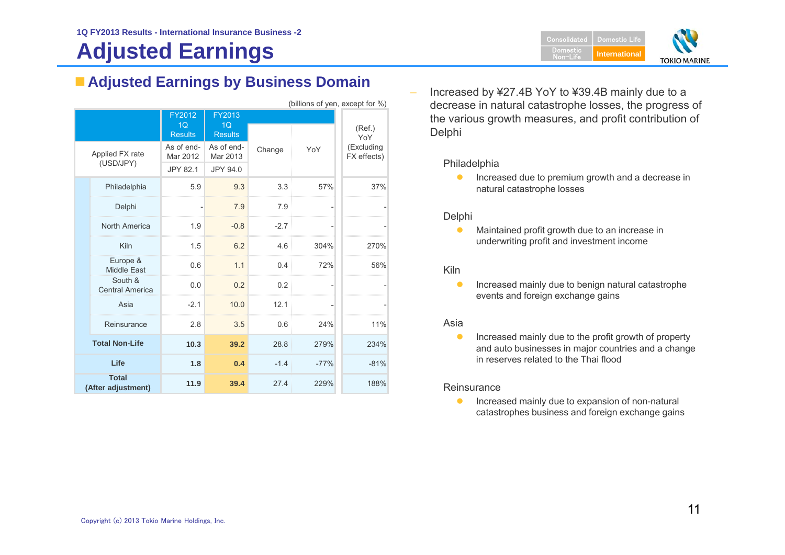## **Adjusted Earnings**

### **Adjusted Earnings by Business Domain**

| (billions of yen, except for %)    |                        |                        |        |        |                           |
|------------------------------------|------------------------|------------------------|--------|--------|---------------------------|
|                                    | FY2012                 | FY2013                 |        |        |                           |
|                                    | 1Q<br><b>Results</b>   | 1Q<br><b>Results</b>   |        |        | (Ref.)<br>YoY             |
| Applied FX rate<br>(USD/JPY)       | As of end-<br>Mar 2012 | As of end-<br>Mar 2013 | Change | YoY    | (Excluding<br>FX effects) |
|                                    | <b>JPY 82.1</b>        | JPY 94.0               |        |        |                           |
| Philadelphia                       | 5.9                    | 9.3                    | 3.3    | 57%    | 37%                       |
| Delphi                             |                        | 7.9                    | 7.9    |        |                           |
| North America                      | 1.9                    | $-0.8$                 | $-2.7$ |        |                           |
| Kiln                               | 1.5                    | 6.2                    | 4.6    | 304%   | 270%                      |
| Europe &<br><b>Middle East</b>     | 0.6                    | 1.1                    | 0.4    | 72%    | 56%                       |
| South &<br><b>Central America</b>  | 0.0                    | 0.2                    | 0.2    |        |                           |
| Asia                               | $-2.1$                 | 10.0                   | 12.1   |        |                           |
| Reinsurance                        | 2.8                    | 3.5                    | 0.6    | 24%    | 11%                       |
| <b>Total Non-Life</b>              | 10.3                   | 39.2                   | 28.8   | 279%   | 234%                      |
| Life                               | 1.8                    | 0.4                    | $-1.4$ | $-77%$ | $-81%$                    |
| <b>Total</b><br>(After adjustment) | 11.9                   | 39.4                   | 27.4   | 229%   | 188%                      |

 Increased by ¥27.4B YoY to ¥39.4B mainly due to a decrease in natural catastrophe losses, the progress of the various growth measures, and profit contribution of Delphi

#### Philadelphia

 $\bullet$  Increased due to premium growth and a decrease in natural catastrophe losses

#### Delphi

 $\bullet$  Maintained profit growth due to an increase in underwriting profit and investment income

#### Kiln

 $\bullet$  Increased mainly due to benign natural catastrophe events and foreign exchange gains

#### Asia

 $\bullet$  Increased mainly due to the profit growth of property and auto businesses in major countries and a change in reserves related to the Thai flood

#### **Reinsurance**

 $\bullet$  Increased mainly due to expansion of non-natural catastrophes business and foreign exchange gains